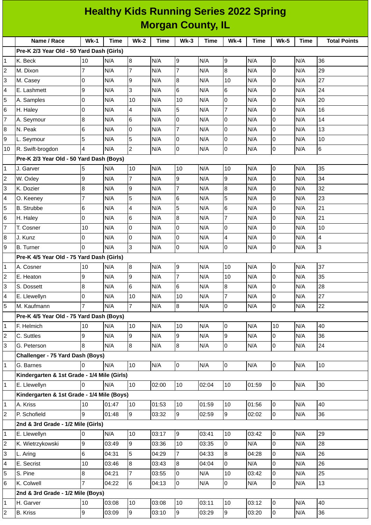|    | <b>Healthy Kids Running Series 2022 Spring</b> |                |       |                |       |                  |             |                |       |                     |             |                     |
|----|------------------------------------------------|----------------|-------|----------------|-------|------------------|-------------|----------------|-------|---------------------|-------------|---------------------|
|    | <b>Morgan County, IL</b>                       |                |       |                |       |                  |             |                |       |                     |             |                     |
|    | Name / Race                                    | $Wk-1$         | Time  | <b>Wk-2</b>    | Time  | $Wk-3$           | <b>Time</b> | $Wk-4$         | Time  | <b>Wk-5</b>         | <b>Time</b> | <b>Total Points</b> |
|    | Pre-K 2/3 Year Old - 50 Yard Dash (Girls)      |                |       |                |       |                  |             |                |       |                     |             |                     |
| 1  | K. Beck                                        | 10             | N/A   | 8              | N/A   | 9                | N/A         | 9              | N/A   | 0                   | N/A         | 36                  |
| 2  | M. Dixon                                       | $\overline{7}$ | N/A   | $\overline{7}$ | N/A   | 7                | N/A         | 8              | N/A   | 0                   | N/A         | 29                  |
| 3  | M. Casey                                       | $\overline{0}$ | N/A   | 9              | N/A   | 8                | N/A         | 10             | N/A   | $\Omega$            | N/A         | 27                  |
| 4  | E. Lashmett                                    | 9              | N/A   | 3              | N/A   | 6                | N/A         | 6              | N/A   | 0                   | N/A         | 24                  |
| 5  | A. Samples                                     | $\overline{0}$ | N/A   | 10             | N/A   | 10               | N/A         | 0              | N/A   | $\overline{0}$      | N/A         | 20                  |
| 6  | H. Haley                                       | $\overline{0}$ | N/A   | 4              | N/A   | 5                | N/A         | $\overline{7}$ | N/A   | 0                   | N/A         | 16                  |
| 7  | A. Seymour                                     | $\bf 8$        | N/A   | 6              | N/A   | 0                | N/A         | 0              | N/A   | 0                   | N/A         | 14                  |
| 8  | N. Peak                                        | 6              | N/A   | 0              | N/A   | $\overline{7}$   | N/A         | 0              | N/A   | 0                   | N/A         | 13                  |
| 9  | L. Seymour                                     | 5              | N/A   | 5              | N/A   | l0               | N/A         | 0              | N/A   | 0                   | N/A         | 10                  |
| 10 | R. Swift-brogdon                               | 4              | N/A   | $\overline{c}$ | N/A   | l0               | N/A         | 0              | N/A   | $\overline{0}$      | N/A         | 6                   |
|    | Pre-K 2/3 Year Old - 50 Yard Dash (Boys)       |                |       |                |       |                  |             |                |       |                     |             |                     |
| 1  | J. Garver                                      | 5              | N/A   | 10             | N/A   | 10               | N/A         | 10             | N/A   | $\overline{0}$      | N/A         | 35                  |
| 2  | W. Oxley                                       | 9              | N/A   | $\overline{7}$ | N/A   | 9                | N/A         | 9              | N/A   | 0                   | N/A         | 34                  |
| 3  | K. Dozier                                      | 8              | N/A   | 9              | N/A   | $\overline{7}$   | N/A         | 8              | N/A   | $\Omega$            | N/A         | 32                  |
| 4  | O. Keeney                                      | $\overline{7}$ | N/A   | 5              | N/A   | $6\phantom{.}$   | N/A         | 5              | N/A   | $\overline{0}$      | N/A         | 23                  |
| 5  | <b>B.</b> Strubbe                              | $6\phantom{a}$ | N/A   | 4              | N/A   | 5                | N/A         | 6              | N/A   | 0                   | N/A         | 21                  |
| 6  | H. Haley                                       | l0             | N/A   | 6              | N/A   | 8                | N/A         | $\overline{7}$ | N/A   | 0                   | N/A         | 21                  |
| 7  | T. Cosner                                      | 10             | N/A   | 0              | N/A   | 0                | N/A         | 0              | N/A   | $\overline{0}$      | N/A         | 10                  |
| 8  | J. Kunz                                        | $\overline{0}$ | N/A   | 0              | N/A   | $\overline{0}$   | N/A         | 4              | N/A   | 0                   | N/A         | $\overline{4}$      |
| 9  | <b>B.</b> Turner                               | l0             | N/A   | 3              | N/A   | 0                | N/A         | 0              | N/A   | 0                   | N/A         | 3                   |
|    | Pre-K 4/5 Year Old - 75 Yard Dash (Girls)      |                |       |                |       |                  |             |                |       |                     |             |                     |
| 1  | A. Cosner                                      | 10             | N/A   | 8              | N/A   | 9                | N/A         | 10             | N/A   | 0                   | N/A         | 37                  |
| 2  | E. Heaton                                      | 9              | N/A   | 9              | N/A   | $\overline{7}$   | N/A         | 10             | N/A   | 0                   | N/A         | 35                  |
| 3  | S. Dossett                                     | $\bf 8$        | N/A   | $\,$ 6         | N/A   | 6                | N/A         | $\, 8$         | N/A   | $\mathsf 0$         | N/A         | 28                  |
| 4  | E. Llewellyn                                   | $\overline{0}$ | N/A   | 10             | N/A   | 10               | N/A         | 7              | N/A   | 0                   | N/A         | 27                  |
| 5  | M. Kaufmann                                    | $\overline{7}$ | N/A   | $\overline{7}$ | N/A   | 8                | N/A         | 0              | N/A   | $\mathsf{O}$        | N/A         | 22                  |
|    | Pre-K 4/5 Year Old - 75 Yard Dash (Boys)       |                |       |                |       |                  |             |                |       |                     |             |                     |
| 1  | F. Helmich                                     | 10             | N/A   | 10             | N/A   | 10               | N/A         | 0              | N/A   | 10                  | N/A         | 40                  |
| 2  | C. Suttles                                     | 9              | N/A   | 9              | N/A   | 9                | N/A         | 9              | N/A   | 0                   | N/A         | 36                  |
| 3  | G. Peterson                                    | 8              | N/A   | 8              | N/A   | $\bf{8}$         | N/A         | 0              | N/A   | $\mathsf{O}$        | N/A         | 24                  |
|    | Challenger - 75 Yard Dash (Boys)               |                |       |                |       |                  |             |                |       |                     |             |                     |
| 1  | G. Barnes                                      | Iо             | N/A   | 10             | N/A   | 0                | N/A         | $\overline{0}$ | N/A   | $\mathsf{O}$        | N/A         | 10                  |
|    | Kindergarten & 1st Grade - 1/4 Mile (Girls)    |                |       |                |       |                  |             |                |       |                     |             |                     |
| 1  | E. Llewellyn                                   | I0             | N/A   | 10             | 02:00 | $10\,$           | 02:04       | 10             | 01:59 | $\mathsf{O}$        | N/A         | 30                  |
|    | Kindergarten & 1st Grade - 1/4 Mile (Boys)     |                |       |                |       |                  |             |                |       |                     |             |                     |
| 1  | A. Kriss                                       | 10             | 01:47 | 10             | 01:53 | 10               | 01:59       | 10             | 01:56 | $\mathsf{O}$        | N/A         | 40                  |
| 2  | P. Schofield                                   | 9              | 01:48 | 9              | 03:32 | 9                | 02:59       | 9              | 02:02 | 0                   | N/A         | 36                  |
|    | 2nd & 3rd Grade - 1/2 Mile (Girls)             |                |       |                |       |                  |             |                |       |                     |             |                     |
| 1  | E. Llewellyn                                   | 0              | N/A   | 10             | 03:17 | 9                | 03:41       | 10             | 03:42 | $\mathsf{O}$        | N/A         | 29                  |
| 2  | K. Wietrzykowski                               | 9              | 03:49 | 9              | 03:36 | 10               | 03:35       | $\overline{0}$ | N/A   | $\mathsf{O}$        | N/A         | 28                  |
| 3  | L. Aring                                       | 6              | 04:31 | 5              | 04:29 | $\overline{7}$   | 04:33       | 8              | 04:28 | 0                   | N/A         | 26                  |
| 4  | E. Secrist                                     | 10             | 03:46 | 8              | 03:43 | $\boldsymbol{8}$ | 04:04       | $\overline{0}$ | N/A   | $\mathsf{O}$        | N/A         | 26                  |
| 5  | S. Pine                                        | $\bf{8}$       | 04:21 | $\overline{7}$ | 03:55 | l0               | N/A         | 10             | 03:42 | 0                   | N/A         | 25                  |
| 6  | K. Colwell                                     | $\overline{7}$ | 04:22 | 6              | 04:13 | 0                | N/A         | $\mathsf{O}$   | N/A   | $\mathsf{O}$        | N/A         | 13                  |
|    | 2nd & 3rd Grade - 1/2 Mile (Boys)              |                |       |                |       |                  |             |                |       |                     |             |                     |
| 1  | H. Garver                                      | 10             | 03:08 | 10             | 03:08 | 10               | 03:11       | 10             | 03:12 | $\mathsf{O}\xspace$ | N/A         | 40                  |
| 2  | <b>B.</b> Kriss                                | 9              | 03:09 | 9              | 03:10 | 9                | 03:29       | 9              | 03:20 | $\mathsf{O}$        | N/A         | 36                  |